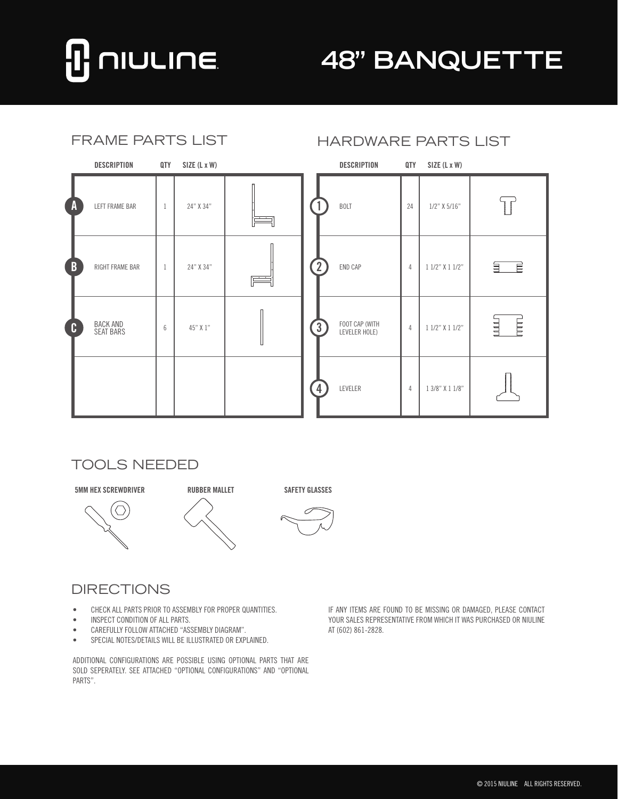

# **48" BANQUETTE**

| <b>FRAME PARTS LIST</b> |                                     |     |              |   | <b>HARDWARE PARTS LIST</b> |                                 |                |                 |                           |
|-------------------------|-------------------------------------|-----|--------------|---|----------------------------|---------------------------------|----------------|-----------------|---------------------------|
|                         | <b>DESCRIPTION</b>                  | QTY | SIZE (L x W) |   |                            | <b>DESCRIPTION</b>              | QTY            | SIZE (L x W)    |                           |
| $\overline{A}$          | LEFT FRAME BAR                      | -1  | 24" X 34"    |   |                            | <b>BOLT</b>                     | 24             | $1/2$ " X 5/16" | l<br>Propinsi             |
| $\mathbf{B}$            | RIGHT FRAME BAR                     | -1  | 24" X 34"    | 广 | $\overline{2}$             | END CAP                         | 4              | 1 1/2" X 1 1/2" | $\overrightarrow{E}$<br>딐 |
| <b>C</b>                | <b>BACK AND</b><br><b>SEAT BARS</b> | 6   | 45" X 1"     |   | $\left(3\right)$           | FOOT CAP (WITH<br>LEVELER HOLE) | $\overline{4}$ | 1 1/2" X 1 1/2" | 目<br>E                    |
|                         |                                     |     |              |   | $\overline{4}$             | LEVELER                         | 4              | 1 3/8" X 1 1/8" |                           |

#### TOOLS NEEDED







#### DIRECTIONS

- CHECK ALL PARTS PRIOR TO ASSEMBLY FOR PROPER QUANTITIES.
- • INSPECT CONDITION OF ALL PARTS.
- • CAREFULLY FOLLOW ATTACHED "ASSEMBLY DIAGRAM".
- • SPECIAL NOTES/DETAILS WILL BE ILLUSTRATED OR EXPLAINED.

ADDITIONAL CONFIGURATIONS ARE POSSIBLE USING OPTIONAL PARTS THAT ARE SOLD SEPERATELY. SEE ATTACHED "OPTIONAL CONFIGURATIONS" AND "OPTIONAL PARTS".

IF ANY ITEMS ARE FOUND TO BE MISSING OR DAMAGED, PLEASE CONTACT YOUR SALES REPRESENTATIVE FROM WHICH IT WAS PURCHASED OR NIULINE AT (602) 861-2828.

## HARDWARE PARTS LIST